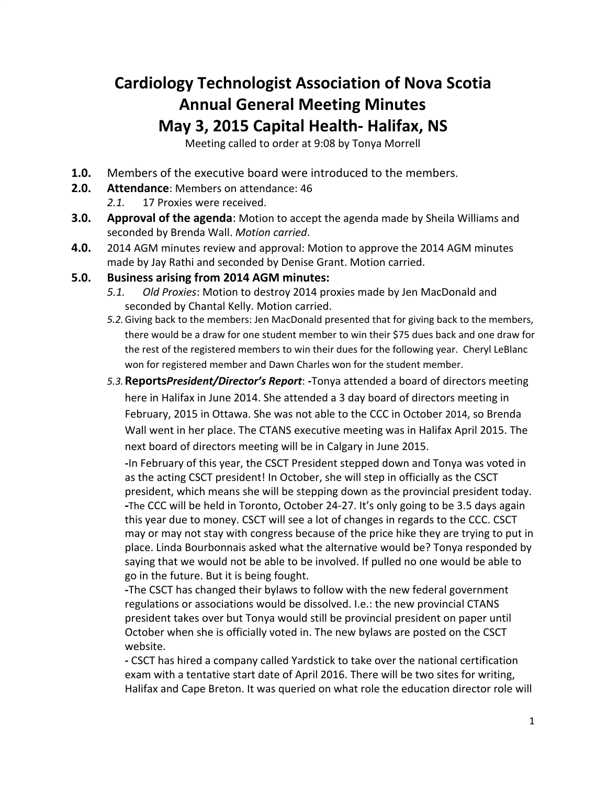## **Cardiology Technologist Association of Nova Scotia Annual General Meeting Minutes May 3, 2015 Capital Health- Halifax, NS**

Meeting called to order at 9:08 by Tonya Morrell

- **1.0.** Members of the executive board were introduced to the members.
- **2.0. Attendance**: Members on attendance: 46
	- *2.1.* 17 Proxies were received.
- **3.0. Approval of the agenda**: Motion to accept the agenda made by Sheila Williams and seconded by Brenda Wall. *Motion carried*.
- **4.0.** 2014 AGM minutes review and approval: Motion to approve the 2014 AGM minutes made by Jay Rathi and seconded by Denise Grant. Motion carried.

## **5.0. Business arising from 2014 AGM minutes:**

- *5.1. Old Proxies*: Motion to destroy 2014 proxies made by Jen MacDonald and seconded by Chantal Kelly. Motion carried.
- *5.2.*Giving back to the members: Jen MacDonald presented that for giving back to the members, there would be a draw for one student member to win their \$75 dues back and one draw for the rest of the registered members to win their dues for the following year. Cheryl LeBlanc won for registered member and Dawn Charles won for the student member.
- *5.3.***Reports***President/Director's Report*: **-**Tonya attended a board of directors meeting here in Halifax in June 2014. She attended a 3 day board of directors meeting in February, 2015 in Ottawa. She was not able to the CCC in October 2014, so Brenda Wall went in her place. The CTANS executive meeting was in Halifax April 2015. The next board of directors meeting will be in Calgary in June 2015.

**-**In February of this year, the CSCT President stepped down and Tonya was voted in as the acting CSCT president! In October, she will step in officially as the CSCT president, which means she will be stepping down as the provincial president today. **-**The CCC will be held in Toronto, October 24-27. It's only going to be 3.5 days again this year due to money. CSCT will see a lot of changes in regards to the CCC. CSCT may or may not stay with congress because of the price hike they are trying to put in place. Linda Bourbonnais asked what the alternative would be? Tonya responded by saying that we would not be able to be involved. If pulled no one would be able to go in the future. But it is being fought.

**-**The CSCT has changed their bylaws to follow with the new federal government regulations or associations would be dissolved. I.e.: the new provincial CTANS president takes over but Tonya would still be provincial president on paper until October when she is officially voted in. The new bylaws are posted on the CSCT website.

**-** CSCT has hired a company called Yardstick to take over the national certification exam with a tentative start date of April 2016. There will be two sites for writing, Halifax and Cape Breton. It was queried on what role the education director role will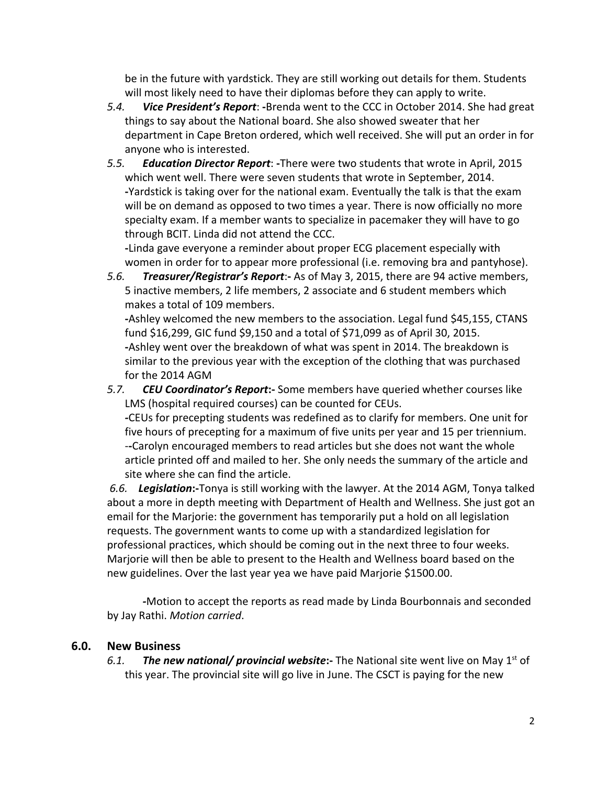be in the future with yardstick. They are still working out details for them. Students will most likely need to have their diplomas before they can apply to write.

- *5.4. Vice President's Report*: **-**Brenda went to the CCC in October 2014. She had great things to say about the National board. She also showed sweater that her department in Cape Breton ordered, which well received. She will put an order in for anyone who is interested.
- *5.5. Education Director Report*: **-**There were two students that wrote in April, 2015 which went well. There were seven students that wrote in September, 2014. **-**Yardstick is taking over for the national exam. Eventually the talk is that the exam will be on demand as opposed to two times a year. There is now officially no more specialty exam. If a member wants to specialize in pacemaker they will have to go through BCIT. Linda did not attend the CCC.

**-**Linda gave everyone a reminder about proper ECG placement especially with women in order for to appear more professional (i.e. removing bra and pantyhose).

*5.6. Treasurer/Registrar's Report*:**-** As of May 3, 2015, there are 94 active members, 5 inactive members, 2 life members, 2 associate and 6 student members which makes a total of 109 members.

**-**Ashley welcomed the new members to the association. Legal fund \$45,155, CTANS fund \$16,299, GIC fund \$9,150 and a total of \$71,099 as of April 30, 2015. **-**Ashley went over the breakdown of what was spent in 2014. The breakdown is similar to the previous year with the exception of the clothing that was purchased for the 2014 AGM

*5.7. CEU Coordinator's Report***:-** Some members have queried whether courses like LMS (hospital required courses) can be counted for CEUs. *-*CEUs for precepting students was redefined as to clarify for members. One unit for five hours of precepting for a maximum of five units per year and 15 per triennium. -**-**Carolyn encouraged members to read articles but she does not want the whole

article printed off and mailed to her. She only needs the summary of the article and site where she can find the article.

*6.6. Legislation***:-**Tonya is still working with the lawyer. At the 2014 AGM, Tonya talked about a more in depth meeting with Department of Health and Wellness. She just got an email for the Marjorie: the government has temporarily put a hold on all legislation requests. The government wants to come up with a standardized legislation for professional practices, which should be coming out in the next three to four weeks. Marjorie will then be able to present to the Health and Wellness board based on the new guidelines. Over the last year yea we have paid Marjorie \$1500.00.

*-*Motion to accept the reports as read made by Linda Bourbonnais and seconded by Jay Rathi. *Motion carried*.

## **6.0. New Business**

6.1. The new national/ provincial website:- The National site went live on May 1<sup>st</sup> of this year. The provincial site will go live in June. The CSCT is paying for the new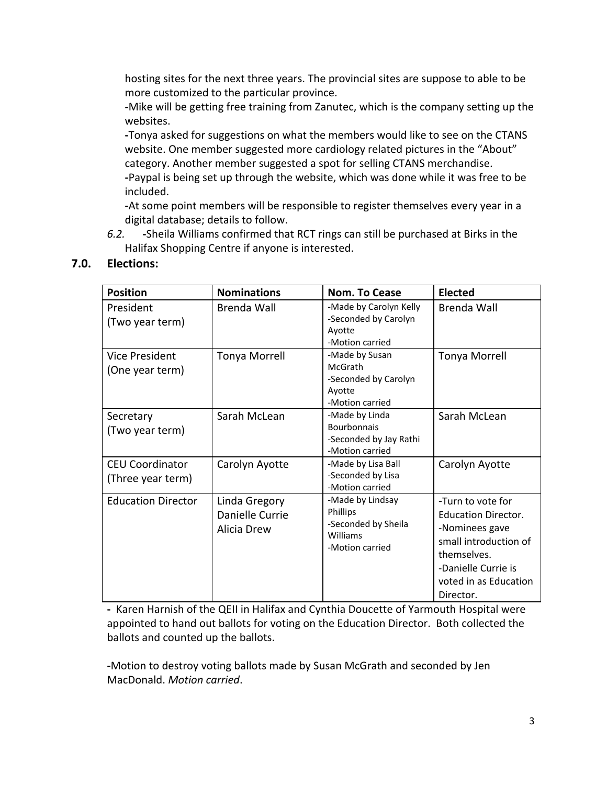hosting sites for the next three years. The provincial sites are suppose to able to be more customized to the particular province.

*-*Mike will be getting free training from Zanutec, which is the company setting up the websites.

**-**Tonya asked for suggestions on what the members would like to see on the CTANS website. One member suggested more cardiology related pictures in the "About" category. Another member suggested a spot for selling CTANS merchandise. **-**Paypal is being set up through the website, which was done while it was free to be included.

**-**At some point members will be responsible to register themselves every year in a digital database; details to follow.

*6.2.* **-**Sheila Williams confirmed that RCT rings can still be purchased at Birks in the Halifax Shopping Centre if anyone is interested.

| <b>Position</b>                             | <b>Nominations</b>                              | Nom. To Cease                                                                         | Elected                                                                                                                                                                |
|---------------------------------------------|-------------------------------------------------|---------------------------------------------------------------------------------------|------------------------------------------------------------------------------------------------------------------------------------------------------------------------|
| President<br>(Two year term)                | Brenda Wall                                     | -Made by Carolyn Kelly<br>-Seconded by Carolyn<br>Ayotte<br>-Motion carried           | Brenda Wall                                                                                                                                                            |
| <b>Vice President</b><br>(One year term)    | Tonya Morrell                                   | -Made by Susan<br><b>McGrath</b><br>-Seconded by Carolyn<br>Ayotte<br>-Motion carried | <b>Tonya Morrell</b>                                                                                                                                                   |
| Secretary<br>(Two year term)                | Sarah McLean                                    | -Made by Linda<br><b>Bourbonnais</b><br>-Seconded by Jay Rathi<br>-Motion carried     | Sarah McLean                                                                                                                                                           |
| <b>CEU Coordinator</b><br>(Three year term) | Carolyn Ayotte                                  | -Made by Lisa Ball<br>-Seconded by Lisa<br>-Motion carried                            | Carolyn Ayotte                                                                                                                                                         |
| <b>Education Director</b>                   | Linda Gregory<br>Danielle Currie<br>Alicia Drew | -Made by Lindsay<br>Phillips<br>-Seconded by Sheila<br>Williams<br>-Motion carried    | -Turn to vote for<br><b>Education Director.</b><br>-Nominees gave<br>small introduction of<br>themselves.<br>-Danielle Currie is<br>voted in as Education<br>Director. |

## **7.0. Elections:**

**-** Karen Harnish of the QEII in Halifax and Cynthia Doucette of Yarmouth Hospital were appointed to hand out ballots for voting on the Education Director. Both collected the ballots and counted up the ballots.

**-**Motion to destroy voting ballots made by Susan McGrath and seconded by Jen MacDonald. *Motion carried*.